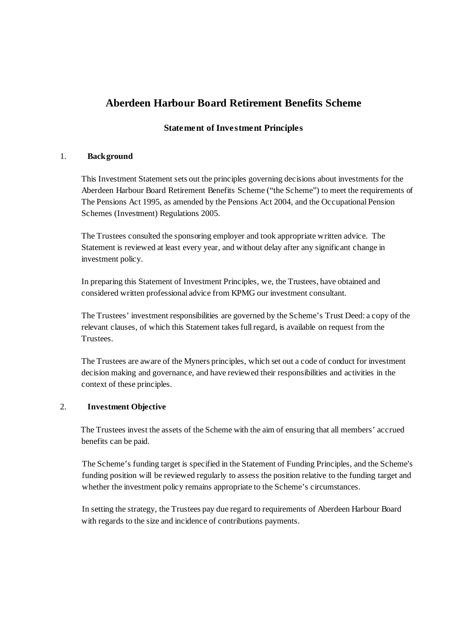# **Aberdeen Harbour Board Retirement Benefits Scheme**

### **Statement of Investment Principles**

#### 1. **Background**

This Investment Statement sets out the principles governing decisions about investments for the Aberdeen Harbour Board Retirement Benefits Scheme ("the Scheme") to meet the requirements of The Pensions Act 1995, as amended by the Pensions Act 2004, and the Occupational Pension Schemes (Investment) Regulations 2005.

The Trustees consulted the sponsoring employer and took appropriate written advice. The Statement is reviewed at least every year, and without delay after any significant change in investment policy.

In preparing this Statement of Investment Principles, we, the Trustees, have obtained and considered written professional advice from KPMG our investment consultant.

The Trustees' investment responsibilities are governed by the Scheme's Trust Deed: a copy of the relevant clauses, of which this Statement takes full regard, is available on request from the Trustees.

The Trustees are aware of the Myners principles, which set out a code of conduct for investment decision making and governance, and have reviewed their responsibilities and activities in the context of these principles.

#### 2. **Investment Objective**

The Trustees invest the assets of the Scheme with the aim of ensuring that all members' accrued benefits can be paid.

The Scheme's funding target is specified in the Statement of Funding Principles, and the Scheme's funding position will be reviewed regularly to assess the position relative to the funding target and whether the investment policy remains appropriate to the Scheme's circumstances.

In setting the strategy, the Trustees pay due regard to requirements of Aberdeen Harbour Board with regards to the size and incidence of contributions payments.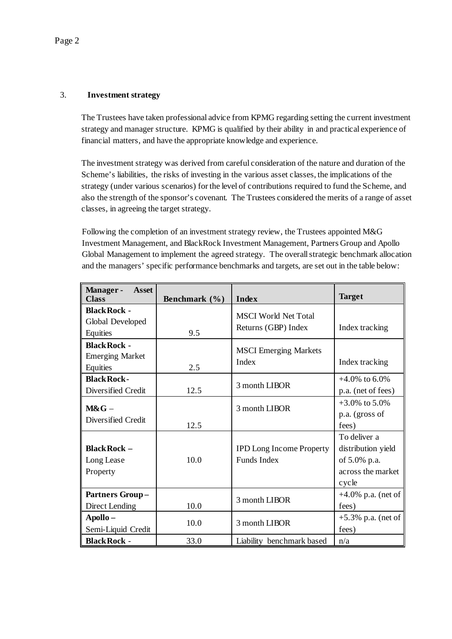#### 3. **Investment strategy**

The Trustees have taken professional advice from KPMG regarding setting the current investment strategy and manager structure. KPMG is qualified by their ability in and practical experience of financial matters, and have the appropriate knowledge and experience.

The investment strategy was derived from careful consideration of the nature and duration of the Scheme's liabilities, the risks of investing in the various asset classes, the implications of the strategy (under various scenarios) for the level of contributions required to fund the Scheme, and also the strength of the sponsor's covenant. The Trustees considered the merits of a range of asset classes, in agreeing the target strategy.

Following the completion of an investment strategy review, the Trustees appointed M&G Investment Management, and BlackRock Investment Management, Partners Group and Apollo Global Management to implement the agreed strategy. The overall strategic benchmark allocation and the managers' specific performance benchmarks and targets, are set out in the table below:

| Manager-<br><b>Asset</b><br><b>Class</b>      | Benchmark $(\% )$ | <b>Index</b>                                          | <b>Target</b>                                                                    |
|-----------------------------------------------|-------------------|-------------------------------------------------------|----------------------------------------------------------------------------------|
| <b>Black Rock -</b><br>Global Developed       |                   | <b>MSCI</b> World Net Total                           |                                                                                  |
| Equities                                      | 9.5               | Returns (GBP) Index                                   | Index tracking                                                                   |
| <b>Black Rock -</b>                           |                   | <b>MSCI</b> Emerging Markets                          |                                                                                  |
| <b>Emerging Market</b><br>Equities            | 2.5               | Index                                                 | Index tracking                                                                   |
| <b>Black Rock-</b>                            |                   |                                                       | $+4.0\%$ to 6.0%                                                                 |
| Diversified Credit                            | 12.5              | 3 month LIBOR                                         | p.a. (net of fees)                                                               |
| $M\&G -$                                      |                   | 3 month LIBOR                                         | $+3.0\%$ to 5.0%<br>p.a. (gross of                                               |
| Diversified Credit                            | 12.5              |                                                       | fees)                                                                            |
| <b>Black Rock -</b><br>Long Lease<br>Property | 10.0              | <b>IPD Long Income Property</b><br><b>Funds Index</b> | To deliver a<br>distribution yield<br>of 5.0% p.a.<br>across the market<br>cycle |
| <b>Partners Group-</b><br>Direct Lending      | 10.0              | 3 month LIBOR                                         | $+4.0\%$ p.a. (net of<br>fees)                                                   |
| $\bf Apollo-$<br>Semi-Liquid Credit           | 10.0              | 3 month LIBOR                                         | $+5.3\%$ p.a. (net of<br>fees)                                                   |
| <b>Black Rock -</b>                           | 33.0              | Liability benchmark based                             | n/a                                                                              |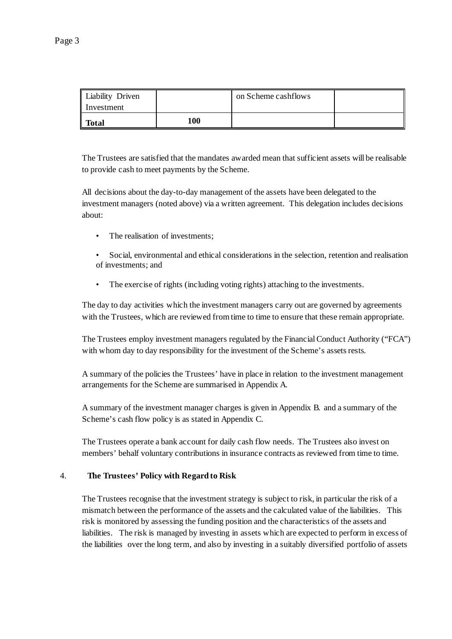| Liability Driven  |     | on Scheme cashflows |  |
|-------------------|-----|---------------------|--|
| Investment        |     |                     |  |
| ║<br><b>Total</b> | 100 |                     |  |

The Trustees are satisfied that the mandates awarded mean that sufficient assets will be realisable to provide cash to meet payments by the Scheme.

All decisions about the day-to-day management of the assets have been delegated to the investment managers (noted above) via a written agreement. This delegation includes decisions about:

The realisation of investments;

• Social, environmental and ethical considerations in the selection, retention and realisation of investments; and

The exercise of rights (including voting rights) attaching to the investments.

The day to day activities which the investment managers carry out are governed by agreements with the Trustees, which are reviewed from time to time to ensure that these remain appropriate.

The Trustees employ investment managers regulated by the Financial Conduct Authority ("FCA") with whom day to day responsibility for the investment of the Scheme's assets rests.

A summary of the policies the Trustees' have in place in relation to the investment management arrangements for the Scheme are summarised in Appendix A.

A summary of the investment manager charges is given in Appendix B. and a summary of the Scheme's cash flow policy is as stated in Appendix C.

The Trustees operate a bank account for daily cash flow needs. The Trustees also invest on members' behalf voluntary contributions in insurance contracts as reviewed from time to time.

#### 4. **The Trustees' Policy with Regard to Risk**

The Trustees recognise that the investment strategy is subject to risk, in particular the risk of a mismatch between the performance of the assets and the calculated value of the liabilities. This risk is monitored by assessing the funding position and the characteristics of the assets and liabilities. The risk is managed by investing in assets which are expected to perform in excess of the liabilities over the long term, and also by investing in a suitably diversified portfolio of assets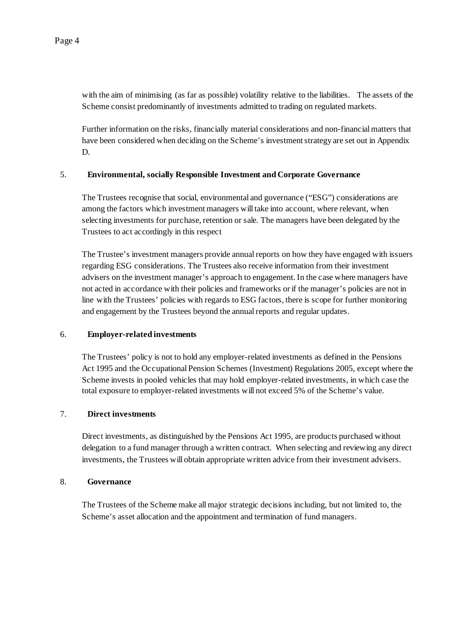with the aim of minimising (as far as possible) volatility relative to the liabilities. The assets of the Scheme consist predominantly of investments admitted to trading on regulated markets.

Further information on the risks, financially material considerations and non-financial matters that have been considered when deciding on the Scheme's investment strategy are set out in Appendix D.

#### 5. **Environmental, socially Responsible Investment and Corporate Governance**

The Trustees recognise that social, environmental and governance ("ESG") considerations are among the factors which investment managers will take into account, where relevant, when selecting investments for purchase, retention or sale. The managers have been delegated by the Trustees to act accordingly in this respect

The Trustee's investment managers provide annual reports on how they have engaged with issuers regarding ESG considerations. The Trustees also receive information from their investment advisers on the investment manager's approach to engagement. In the case where managers have not acted in accordance with their policies and frameworks or if the manager's policies are not in line with the Trustees' policies with regards to ESG factors, there is scope for further monitoring and engagement by the Trustees beyond the annual reports and regular updates.

#### 6. **Employer-related investments**

The Trustees' policy is not to hold any employer-related investments as defined in the Pensions Act 1995 and the Occupational Pension Schemes (Investment) Regulations 2005, except where the Scheme invests in pooled vehicles that may hold employer-related investments, in which case the total exposure to employer-related investments will not exceed 5% of the Scheme's value.

#### 7. **Direct investments**

Direct investments, as distinguished by the Pensions Act 1995, are products purchased without delegation to a fund manager through a written contract. When selecting and reviewing any direct investments, the Trustees will obtain appropriate written advice from their investment advisers.

#### 8. **Governance**

The Trustees of the Scheme make all major strategic decisions including, but not limited to, the Scheme's asset allocation and the appointment and termination of fund managers.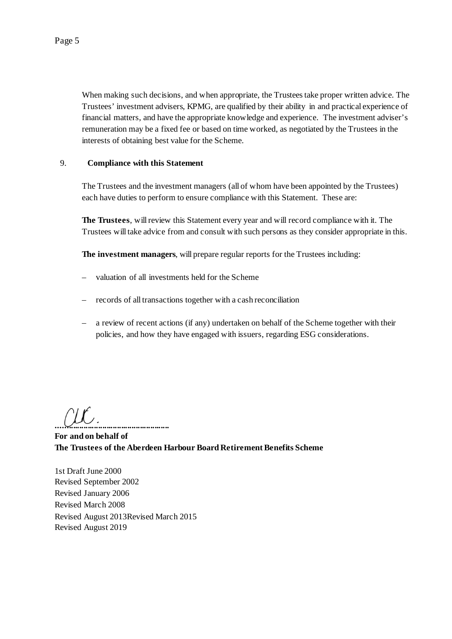When making such decisions, and when appropriate, the Trustees take proper written advice. The Trustees' investment advisers, KPMG, are qualified by their ability in and practical experience of financial matters, and have the appropriate knowledge and experience. The investment adviser's remuneration may be a fixed fee or based on time worked, as negotiated by the Trustees in the interests of obtaining best value for the Scheme.

#### 9. **Compliance with this Statement**

The Trustees and the investment managers (all of whom have been appointed by the Trustees) each have duties to perform to ensure compliance with this Statement. These are:

**The Trustees**, will review this Statement every year and will record compliance with it. The Trustees will take advice from and consult with such persons as they consider appropriate in this.

**The investment managers**, will prepare regular reports for the Trustees including:

- valuation of all investments held for the Scheme
- records of all transactions together with a cash reconciliation
- a review of recent actions (if any) undertaken on behalf of the Scheme together with their policies, and how they have engaged with issuers, regarding ESG considerations.

**......................................................**

**For and on behalf of The Trustees of the Aberdeen Harbour Board Retirement Benefits Scheme**

1st Draft June 2000 Revised September 2002 Revised January 2006 Revised March 2008 Revised August 2013Revised March 2015 Revised August 2019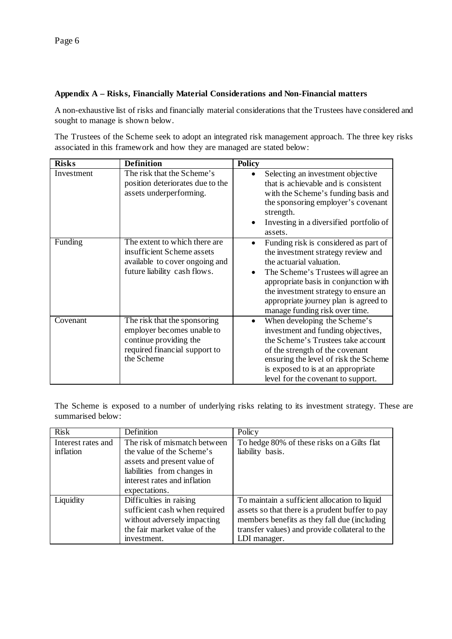#### **Appendix A – Risks, Financially Material Considerations and Non-Financial matters**

A non-exhaustive list of risks and financially material considerations that the Trustees have considered and sought to manage is shown below.

The Trustees of the Scheme seek to adopt an integrated risk management approach. The three key risks associated in this framework and how they are managed are stated below:

| <b>Risks</b> | <b>Definition</b>                                                                                                                   | <b>Policy</b>  |                                                                                                                                                                                                                                                                                                            |
|--------------|-------------------------------------------------------------------------------------------------------------------------------------|----------------|------------------------------------------------------------------------------------------------------------------------------------------------------------------------------------------------------------------------------------------------------------------------------------------------------------|
| Investment   | The risk that the Scheme's<br>position deteriorates due to the<br>assets underperforming.                                           | $\bullet$      | Selecting an investment objective<br>that is achievable and is consistent<br>with the Scheme's funding basis and<br>the sponsoring employer's covenant<br>strength.<br>Investing in a diversified portfolio of<br>assets.                                                                                  |
| Funding      | The extent to which there are<br>insufficient Scheme assets<br>available to cover ongoing and<br>future liability cash flows.       | $\bullet$<br>٠ | Funding risk is considered as part of<br>the investment strategy review and<br>the actuarial valuation.<br>The Scheme's Trustees will agree an<br>appropriate basis in conjunction with<br>the investment strategy to ensure an<br>appropriate journey plan is agreed to<br>manage funding risk over time. |
| Covenant     | The risk that the sponsoring<br>employer becomes unable to<br>continue providing the<br>required financial support to<br>the Scheme | ٠              | When developing the Scheme's<br>investment and funding objectives,<br>the Scheme's Trustees take account<br>of the strength of the covenant<br>ensuring the level of risk the Scheme<br>is exposed to is at an appropriate<br>level for the covenant to support.                                           |

The Scheme is exposed to a number of underlying risks relating to its investment strategy. These are summarised below:

| <b>Risk</b>        | Definition                    | Policy                                          |
|--------------------|-------------------------------|-------------------------------------------------|
| Interest rates and | The risk of mismatch between  | To hedge 80% of these risks on a Gilts flat     |
| inflation          | the value of the Scheme's     | liability basis.                                |
|                    | assets and present value of   |                                                 |
|                    | liabilities from changes in   |                                                 |
|                    | interest rates and inflation  |                                                 |
|                    | expectations.                 |                                                 |
| Liquidity          | Difficulties in raising       | To maintain a sufficient allocation to liquid   |
|                    | sufficient cash when required | assets so that there is a prudent buffer to pay |
|                    | without adversely impacting   | members benefits as they fall due (including    |
|                    | the fair market value of the  | transfer values) and provide collateral to the  |
|                    | investment.                   | LDI manager.                                    |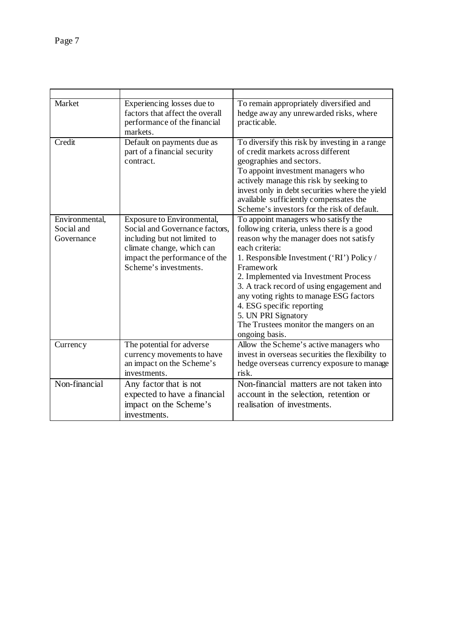| Market                                     | Experiencing losses due to<br>factors that affect the overall                                                                                                                       | To remain appropriately diversified and<br>hedge away any unrewarded risks, where                                                                                                                                                                                                                                                                                                                                                                         |
|--------------------------------------------|-------------------------------------------------------------------------------------------------------------------------------------------------------------------------------------|-----------------------------------------------------------------------------------------------------------------------------------------------------------------------------------------------------------------------------------------------------------------------------------------------------------------------------------------------------------------------------------------------------------------------------------------------------------|
|                                            | performance of the financial<br>markets.                                                                                                                                            | practicable.                                                                                                                                                                                                                                                                                                                                                                                                                                              |
| Credit                                     | Default on payments due as<br>part of a financial security<br>contract.                                                                                                             | To diversify this risk by investing in a range<br>of credit markets across different<br>geographies and sectors.<br>To appoint investment managers who<br>actively manage this risk by seeking to<br>invest only in debt securities where the yield<br>available sufficiently compensates the<br>Scheme's investors for the risk of default.                                                                                                              |
| Environmental,<br>Social and<br>Governance | Exposure to Environmental,<br>Social and Governance factors,<br>including but not limited to<br>climate change, which can<br>impact the performance of the<br>Scheme's investments. | To appoint managers who satisfy the<br>following criteria, unless there is a good<br>reason why the manager does not satisfy<br>each criteria:<br>1. Responsible Investment ('RI') Policy /<br>Framework<br>2. Implemented via Investment Process<br>3. A track record of using engagement and<br>any voting rights to manage ESG factors<br>4. ESG specific reporting<br>5. UN PRI Signatory<br>The Trustees monitor the mangers on an<br>ongoing basis. |
| Currency                                   | The potential for adverse<br>currency movements to have<br>an impact on the Scheme's<br>investments.                                                                                | Allow the Scheme's active managers who<br>invest in overseas securities the flexibility to<br>hedge overseas currency exposure to manage<br>risk.                                                                                                                                                                                                                                                                                                         |
| Non-financial                              | Any factor that is not<br>expected to have a financial<br>impact on the Scheme's<br>investments.                                                                                    | Non-financial matters are not taken into<br>account in the selection, retention or<br>realisation of investments.                                                                                                                                                                                                                                                                                                                                         |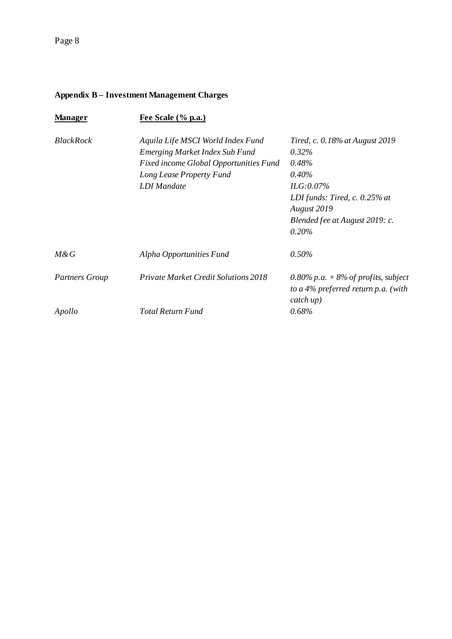# **Appendix B – Investment Management Charges**

| <b>Manager</b>        | Fee Scale (% p.a.)                          |                                          |
|-----------------------|---------------------------------------------|------------------------------------------|
| <b>BlackRock</b>      | Aquila Life MSCI World Index Fund           | Tired, c. 0.18% at August 2019           |
|                       | <b>Emerging Market Index Sub Fund</b>       | $0.32\%$                                 |
|                       | Fixed income Global Opportunities Fund      | 0.48%                                    |
|                       | Long Lease Property Fund                    | $0.40\%$                                 |
|                       | LDI Mandate                                 | ILG:0.07%                                |
|                       |                                             | LDI funds: Tired, $c. 0.25\%$ at         |
|                       |                                             | August 2019                              |
|                       |                                             | Blended fee at August 2019: c.           |
|                       |                                             | 0.20%                                    |
| $M \& G$              | Alpha Opportunities Fund                    | $0.50\%$                                 |
| <b>Partners Group</b> | <b>Private Market Credit Solutions 2018</b> | $0.80\%$ p.a. $+8\%$ of profits, subject |
|                       |                                             | to a 4% preferred return p.a. (with      |
|                       |                                             | catch up)                                |
| Apollo                | <b>Total Return Fund</b>                    | 0.68%                                    |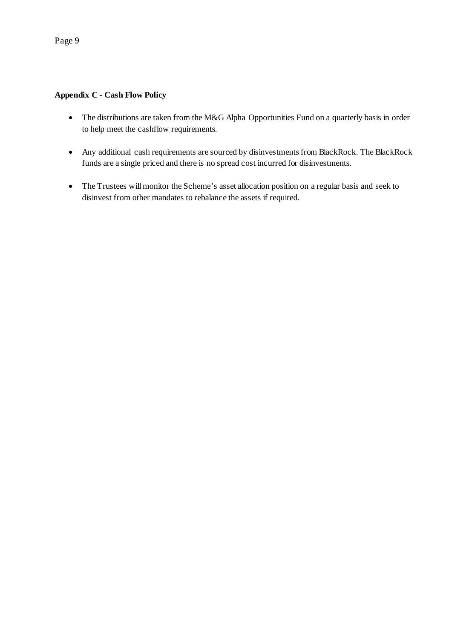#### **Appendix C - Cash Flow Policy**

- The distributions are taken from the M&G Alpha Opportunities Fund on a quarterly basis in order to help meet the cashflow requirements.
- Any additional cash requirements are sourced by disinvestments from BlackRock. The BlackRock funds are a single priced and there is no spread cost incurred for disinvestments.
- The Trustees will monitor the Scheme's asset allocation position on a regular basis and seek to disinvest from other mandates to rebalance the assets if required.